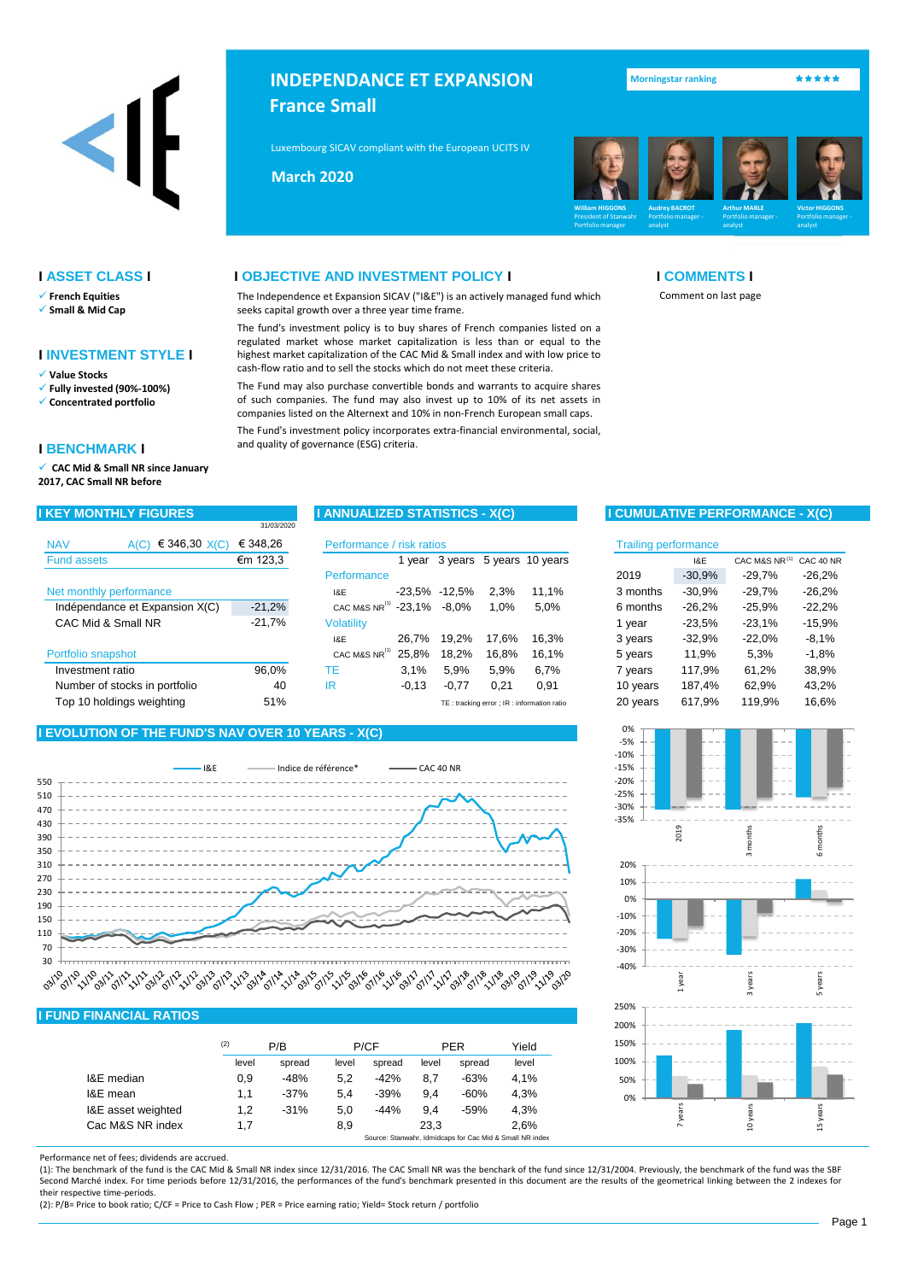

# **INDEPENDANCE ET EXPANSION France Small**

Luxembourg SICAV compliant with the European UCITS IV Directive Compliant Compliant (2009)

The Independence et Expansion SICAV ("I&E") is an actively managed fund which

The fund's investment policy is to buy shares of French companies listed on a regulated market whose market capitalization is less than or equal to the highest market capitalization of the CAC Mid & Small index and with low price to cash-flow ratio and to sell the stocks which do not meet these criteria.

The Fund may also purchase convertible bonds and warrants to acquire shares of such companies. The fund may also invest up to 10% of its net assets in companies listed on the Alternext and 10% in non-French European small caps. The Fund's investment policy incorporates extra-financial environmental, social,

**Mai 2013 March 2020**

seeks capital growth over a three year time frame.

and quality of governance (ESG) criteria.



● **Morningstar ranking ★★★★★** 

Comment on last page

### **I ASSET CLASS I I OBJECTIVE AND INVESTMENT POLICY I I COMMENTS I**

- ✓ **French Equities**
- ✓ **Small & Mid Cap**

### **I INVESTMENT STYLE I**

✓ **Value Stocks**

- ✓ **Fully invested (90%-100%)**
- ✓ **Concentrated portfolio**

✓ **CAC Mid & Small NR since January 2017, CAC Small NR before**

|                                |                 | 31/03/2020                |                                        |         |                   |       |                                            |                             |          |               |           |  |
|--------------------------------|-----------------|---------------------------|----------------------------------------|---------|-------------------|-------|--------------------------------------------|-----------------------------|----------|---------------|-----------|--|
| <b>NAV</b><br>A(C)             | € 346,30 $X(C)$ | Performance / risk ratios |                                        |         |                   |       |                                            | <b>Trailing performance</b> |          |               |           |  |
| <b>Fund assets</b>             |                 | €m 123,3                  |                                        |         |                   |       | year 3 years 5 years 10 years              |                             | 1&E      | CAC M&S NR(1) | CAC 40 NF |  |
|                                |                 |                           | Performance                            |         |                   |       |                                            | 2019                        | $-30.9%$ | $-29.7%$      | $-26,2%$  |  |
| Net monthly performance        |                 |                           | I&E                                    |         | $-23.5\% -12.5\%$ | 2.3%  | 11.1%                                      | 3 months                    | $-30.9%$ | $-29.7%$      | $-26,2%$  |  |
| Indépendance et Expansion X(C) |                 | $-21,2%$                  | CAC M&S NR <sup>(1)</sup> -23,1% -8,0% |         |                   | 1,0%  | 5.0%                                       | 6 months                    | $-26.2%$ | $-25.9%$      | $-22,2%$  |  |
| CAC Mid & Small NR             |                 | $-21,7%$                  | <b>Volatility</b>                      |         |                   |       |                                            | 1 vear                      | $-23.5%$ | $-23,1%$      | $-15,9%$  |  |
|                                |                 |                           | I&E                                    | 26.7%   | 19.2%             | 17.6% | 16.3%                                      | 3 years                     | $-32.9%$ | $-22.0%$      | $-8,1%$   |  |
| Portfolio snapshot             |                 |                           | CAC M&S NR <sup>(1)</sup>              | 25,8%   | 18.2%             | 16.8% | 16.1%                                      | 5 years                     | 11,9%    | 5,3%          | $-1,8%$   |  |
| Investment ratio               |                 | 96.0%                     | ТE                                     | 3.1%    | 5.9%              | 5.9%  | 6.7%                                       | 7 years                     | 117.9%   | 61.2%         | 38,9%     |  |
| Number of stocks in portfolio  |                 | 40                        | IR                                     | $-0.13$ | $-0.77$           | 0.21  | 0.91                                       | 10 years                    | 187.4%   | 62,9%         | 43,2%     |  |
| Top 10 holdings weighting      |                 | 51%                       |                                        |         |                   |       | TE: tracking error ; IR: information ratio | 20 years                    | 617.9%   | 119.9%        | 16,6%     |  |

### **I EVOLUTION OF THE FUND'S NAV OVER 10 YEARS - X(C)**



## **I FUND FINANCIAL RATIOS**

|                    | (2)   | P/B    | P/CF  |        | PER   |                                                          | Yield |  |
|--------------------|-------|--------|-------|--------|-------|----------------------------------------------------------|-------|--|
|                    | level | spread | level | spread | level | spread                                                   | level |  |
| I&E median         | 0.9   | $-48%$ | 5.2   | $-42%$ | 8.7   | $-63%$                                                   | 4.1%  |  |
| I&E mean           | 1.1   | $-37%$ | 5.4   | $-39%$ | 9.4   | $-60%$                                                   | 4.3%  |  |
| I&E asset weighted | 1,2   | $-31%$ | 5,0   | $-44%$ | 9.4   | $-59%$                                                   | 4.3%  |  |
| Cac M&S NR index   | 1.7   |        | 8,9   |        | 23.3  |                                                          | 2.6%  |  |
|                    |       |        |       |        |       | Source: Stanwahr, Idmidcaps for Cac Mid & Small NR index |       |  |

**I BENCHMARK I**

## **I KEY MONTHLY FIGURES I ANNUALIZED STATISTICS - X(C) I CUMULATIVE PERFORMANCE - X(C)**

| risk ratios |          |                                            |       | <b>Trailing performance</b> |          |          |               |           |  |  |  |
|-------------|----------|--------------------------------------------|-------|-----------------------------|----------|----------|---------------|-----------|--|--|--|
| 1 year      | 3 years  | 5 years 10 years                           |       |                             |          | I&E      | CAC M&S NR(1) | CAC 40 NR |  |  |  |
|             |          |                                            |       |                             | 2019     | $-30.9%$ | $-29,7%$      | $-26,2%$  |  |  |  |
| -23,5%      | $-12.5%$ | 2,3%                                       | 11,1% |                             | 3 months | $-30.9%$ | $-29,7%$      | $-26,2%$  |  |  |  |
| -23,1%      | $-8.0\%$ | 1,0%                                       | 5,0%  |                             | 6 months | $-26,2%$ | $-25,9%$      | $-22,2%$  |  |  |  |
|             |          |                                            |       |                             | 1 year   | $-23.5%$ | $-23,1%$      | $-15,9%$  |  |  |  |
| 26,7%       | 19.2%    | 17,6%                                      | 16,3% |                             | 3 years  | $-32.9%$ | $-22.0%$      | $-8,1%$   |  |  |  |
| 25,8%       | 18.2%    | 16,8%                                      | 16,1% |                             | 5 years  | 11.9%    | 5,3%          | $-1,8%$   |  |  |  |
| 3,1%        | 5,9%     | 5.9%                                       | 6.7%  |                             | 7 years  | 117.9%   | 61.2%         | 38,9%     |  |  |  |
| $-0,13$     | $-0,77$  | 0,21                                       | 0.91  |                             | 10 years | 187,4%   | 62,9%         | 43,2%     |  |  |  |
|             |          | TE: tracking error ; IR: information ratio |       |                             | 20 years | 617,9%   | 119,9%        | 16,6%     |  |  |  |
|             |          |                                            |       |                             |          |          |               |           |  |  |  |



Performance net of fees; dividends are accrued.

(1): The benchmark of the fund is the CAC Mid & Small NR index since 12/31/2016. The CAC Small NR was the benchark of the fund since 12/31/2004. Previously, the benchmark of the fund was the SBF Second Marché index. For time periods before 12/31/2016, the performances of the fund's benchmark presented in this document are the results of the geometrical linking between the 2 indexes for their respective time-periods.

(2): P/B= Price to book ratio; C/CF = Price to Cash Flow ; PER = Price earning ratio; Yield= Stock return / portfolio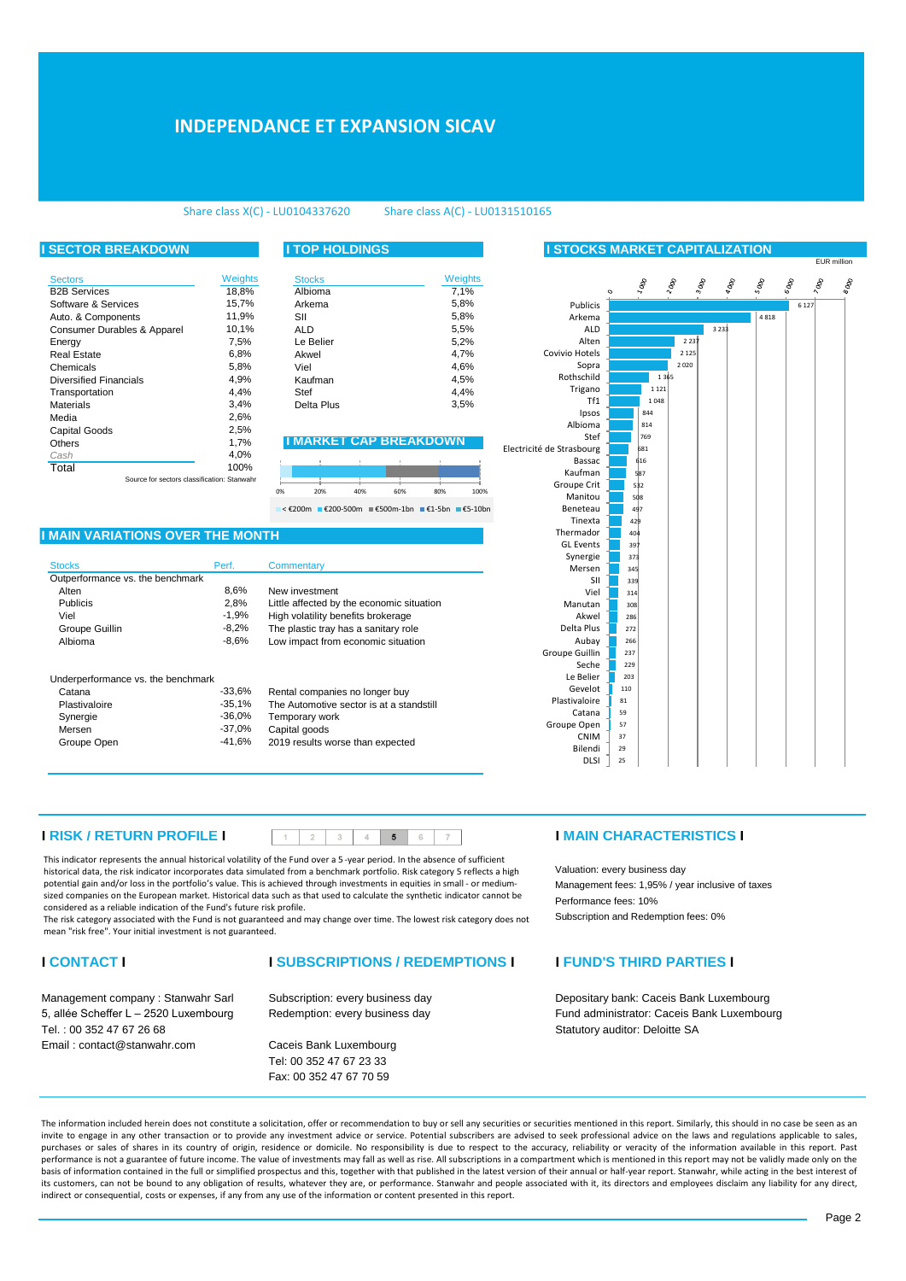# **INDEPENDANCE ET EXPANSION SICAV**

### Share class X(C) - LU0104337620 Share class A(C) - LU0131510165

### **I SECTOR BREAKDOWN I TOP HOLDINGS I STOCKS MARKET CAPITALIZATION** Sectors **Sectors** Stocks **Sectors** Stocks **Stocks** B2B Services Software & Services 15,7%<br>Auto & Components 11.9% Auto. & Components Consumer Durables & Apparel Energy Real Estate 6,8% Chemicals 5.8% Diversified Financials 4,9%<br>Transportation 4,4% Transportation Materials Media Capital Goods Others **IMARKET CAP BREAKDOWN** *Cash* **Total** surce for sectors classific Weights  $18,8%$ 15,7%  $10,1%$ 7,5% 2,5% 100%  $3,4%$ 2,6% 1,7% 4,0%

| Veights  |    | <b>Stocks</b>               |     |     |     | Weights |  |  |  |
|----------|----|-----------------------------|-----|-----|-----|---------|--|--|--|
| 18,8%    |    | Albioma                     |     |     |     | 7,1%    |  |  |  |
| 15,7%    |    | Arkema                      |     |     |     | 5,8%    |  |  |  |
| 11,9%    |    | SII                         |     |     |     |         |  |  |  |
| 10,1%    |    | <b>ALD</b>                  |     |     |     |         |  |  |  |
| 7,5%     |    | Le Belier                   |     |     |     | 5,2%    |  |  |  |
| 6,8%     |    | Akwel                       |     |     |     | 4,7%    |  |  |  |
| 5,8%     |    | Viel                        |     |     |     | 4,6%    |  |  |  |
| 4,9%     |    | Kaufman                     |     |     |     | 4,5%    |  |  |  |
| 4,4%     |    | Stef                        |     |     |     |         |  |  |  |
| 3,4%     |    | Delta Plus                  |     |     |     |         |  |  |  |
| 2,6%     |    |                             |     |     |     |         |  |  |  |
| 2,5%     |    |                             |     |     |     |         |  |  |  |
| 1,7%     |    | <b>MARKEI CAP BREAKDOWN</b> |     |     |     |         |  |  |  |
| 4,0%     |    |                             |     |     |     |         |  |  |  |
| 100%     |    |                             |     |     |     |         |  |  |  |
| Stanwahr |    |                             |     |     |     |         |  |  |  |
|          | 0% | 20%                         | 40% | 60% | 80% | 100%    |  |  |  |

< €200m €200-500m €500m-1bn €1-5bn €5-10bn

### **I MAIN VARIATIONS OVER THE MONTH**

| <b>Stocks</b>                      | Perf.    | Commentary                                |
|------------------------------------|----------|-------------------------------------------|
| Outperformance vs. the benchmark   |          |                                           |
| Alten                              | 8,6%     | New investment                            |
| <b>Publicis</b>                    | 2,8%     | Little affected by the economic situation |
| Viel                               | $-1.9%$  | High volatility benefits brokerage        |
| Groupe Guillin                     | $-8.2\%$ | The plastic tray has a sanitary role      |
| Albioma                            | $-8.6%$  | Low impact from economic situation        |
| Underperformance vs. the benchmark |          |                                           |
| Catana                             | $-33.6%$ | Rental companies no longer buy            |

| <b>RESIDENT CONTROLLER CO.</b> CHO DOITOITING |          |                                          |
|-----------------------------------------------|----------|------------------------------------------|
| Catana                                        | $-33.6%$ | Rental companies no longer buy           |
| Plastivaloire                                 | $-35.1%$ | The Automotive sector is at a standstill |
| Synergie                                      | -36.0%   | Temporary work                           |
| Mersen                                        | -37.0%   | Capital goods                            |

2019 results worse than expected -41,6%

|                           | $\circ$ |     | $\delta_{\theta}$ | $\sim$  | $3\%$   | $\sigma_{\rm Ob}$ , | $s_{00}$ | $\delta \omega_0$ | $\delta_{\rm qg}$ | $\delta^{\partial O_\beta}$ |
|---------------------------|---------|-----|-------------------|---------|---------|---------------------|----------|-------------------|-------------------|-----------------------------|
|                           |         |     |                   |         |         |                     |          |                   |                   |                             |
| Publicis                  |         |     |                   |         |         |                     |          | 6 1 2 7           |                   |                             |
| Arkema                    |         |     |                   |         |         |                     | 4818     |                   |                   |                             |
| <b>ALD</b>                |         |     |                   |         | 3 2 3 3 |                     |          |                   |                   |                             |
| Alten                     |         |     |                   | 2237    |         |                     |          |                   |                   |                             |
| Covivio Hotels            |         |     |                   | 2 1 2 5 |         |                     |          |                   |                   |                             |
| Sopra                     |         |     |                   | 2 0 2 0 |         |                     |          |                   |                   |                             |
| Rothschild                |         |     | 1365              |         |         |                     |          |                   |                   |                             |
| Trigano                   |         |     | 1 1 2 1           |         |         |                     |          |                   |                   |                             |
| Tf1                       |         |     | 1048              |         |         |                     |          |                   |                   |                             |
| Ipsos                     |         |     | 844               |         |         |                     |          |                   |                   |                             |
| Albioma                   |         |     | 814               |         |         |                     |          |                   |                   |                             |
| Stef                      |         |     | 769               |         |         |                     |          |                   |                   |                             |
| Electricité de Strasbourg |         |     | 681               |         |         |                     |          |                   |                   |                             |
| Bassac                    |         |     | 616               |         |         |                     |          |                   |                   |                             |
| Kaufman                   |         |     | 587               |         |         |                     |          |                   |                   |                             |
| Groupe Crit               |         | 532 |                   |         |         |                     |          |                   |                   |                             |
| Manitou                   |         | 508 |                   |         |         |                     |          |                   |                   |                             |
| Beneteau                  |         | 497 |                   |         |         |                     |          |                   |                   |                             |
| Tinexta                   |         | 429 |                   |         |         |                     |          |                   |                   |                             |
| Thermador                 |         | 404 |                   |         |         |                     |          |                   |                   |                             |
| <b>GL</b> Events          |         | 397 |                   |         |         |                     |          |                   |                   |                             |
| Synergie                  |         | 373 |                   |         |         |                     |          |                   |                   |                             |
| Mersen                    |         | 345 |                   |         |         |                     |          |                   |                   |                             |
| SII                       |         | 339 |                   |         |         |                     |          |                   |                   |                             |
| Viel                      |         | 314 |                   |         |         |                     |          |                   |                   |                             |
| Manutan                   |         | 308 |                   |         |         |                     |          |                   |                   |                             |
| Akwel                     |         | 286 |                   |         |         |                     |          |                   |                   |                             |
| Delta Plus                |         | 272 |                   |         |         |                     |          |                   |                   |                             |
| Aubay                     |         | 266 |                   |         |         |                     |          |                   |                   |                             |
| Groupe Guillin            |         | 237 |                   |         |         |                     |          |                   |                   |                             |
| Seche                     |         | 229 |                   |         |         |                     |          |                   |                   |                             |
| Le Belier                 |         | 203 |                   |         |         |                     |          |                   |                   |                             |
| Gevelot                   |         | 110 |                   |         |         |                     |          |                   |                   |                             |
| Plastivaloire             | 81      |     |                   |         |         |                     |          |                   |                   |                             |
| Catana                    | 59      |     |                   |         |         |                     |          |                   |                   |                             |
| Groupe Open               | 57      |     |                   |         |         |                     |          |                   |                   |                             |
| <b>CNIM</b>               | 37      |     |                   |         |         |                     |          |                   |                   |                             |
| Bilendi                   | 29      |     |                   |         |         |                     |          |                   |                   |                             |
| <b>DLSI</b>               | 25      |     |                   |         |         |                     |          |                   |                   |                             |

EUR million

## **I RISK / RETURN PROFILE I I MAIN CHARACTERISTICS I**

This indicator represents the annual historical volatility of the Fund over a 5 -year period. In the absence of sufficient historical data, the risk indicator incorporates data simulated from a benchmark portfolio. Risk category 5 reflects a high potential gain and/or loss in the portfolio's value. This is achieved through investments in equities in small - or mediumsized companies on the European market. Historical data such as that used to calculate the synthetic indicator cannot be considered as a reliable indication of the Fund's future risk profile.

The risk category associated with the Fund is not guaranteed and may change over time. The lowest risk category does not mean "risk free". Your initial investment is not guaranteed.

Plastivaloire Synergie Mersen<br>Groupe Open

Tel. : 00 352 47 67 26 68 Statutory auditor: Deloitte SA Email : contact@stanwahr.com Caceis Bank Luxembourg

Redemption: every business day Subscription: every business day

Tel: 00 352 47 67 23 33 Fax: 00 352 47 67 70 59

Valuation: every business day Management fees: 1,95% / year inclusive of taxes Performance fees: 10% Subscription and Redemption fees: 0%

## **I CONTACT I I SUBSCRIPTIONS / REDEMPTIONS I I FUND'S THIRD PARTIES I**

Management company : Stanwahr Sarl Subscription: every business day **Depositary bank: Caceis Bank Luxembourg** Depositary bank: Caceis Bank Luxembourg 5, allée Scheffer L – 2520 Luxembourg Fund administrator: Caceis Bank Luxembourg

The information included herein does not constitute a solicitation, offer or recommendation to buy or sell any securities or securities mentioned in this report. Similarly, this should in no case be seen as an invite to engage in any other transaction or to provide any investment advice or service. Potential subscribers are advised to seek professional advice on the laws and regulations applicable to sales, purchases or sales of shares in its country of origin, residence or domicile. No responsibility is due to respect to the accuracy, reliability or veracity of the information available in this report. Past performance is not a guarantee of future income. The value of investments may fall as well as rise. All subscriptions in a compartment which is mentioned in this report may not be validly made only on the basis of information contained in the full or simplified prospectus and this, together with that published in the latest version of their annual or half-year report. Stanwahr, while acting in the best interest of its customers, can not be bound to any obligation of results, whatever they are, or performance. Stanwahr and people associated with it, its directors and employees disclaim any liability for any direct, indirect or consequential, costs or expenses, if any from any use of the information or content presented in this report.